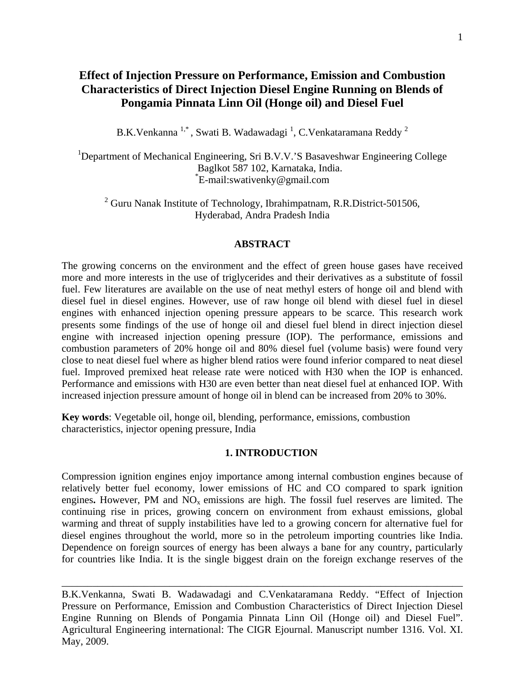# **Effect of Injection Pressure on Performance, Emission and Combustion Characteristics of Direct Injection Diesel Engine Running on Blends of Pongamia Pinnata Linn Oil (Honge oil) and Diesel Fuel**

B.K.Venkanna  $1^*$ , Swati B. Wadawadagi <sup>1</sup>, C.Venkataramana Reddy <sup>2</sup>

<sup>1</sup>Department of Mechanical Engineering, Sri B.V.V.'S Basaveshwar Engineering College Baglkot 587 102, Karnataka, India. \* E-mail:swativenky@gmail.com

<sup>2</sup> Guru Nanak Institute of Technology, Ibrahimpatnam, R.R.District-501506, Hyderabad, Andra Pradesh India

#### **ABSTRACT**

The growing concerns on the environment and the effect of green house gases have received more and more interests in the use of triglycerides and their derivatives as a substitute of fossil fuel. Few literatures are available on the use of neat methyl esters of honge oil and blend with diesel fuel in diesel engines. However, use of raw honge oil blend with diesel fuel in diesel engines with enhanced injection opening pressure appears to be scarce. This research work presents some findings of the use of honge oil and diesel fuel blend in direct injection diesel engine with increased injection opening pressure (IOP). The performance, emissions and combustion parameters of 20% honge oil and 80% diesel fuel (volume basis) were found very close to neat diesel fuel where as higher blend ratios were found inferior compared to neat diesel fuel. Improved premixed heat release rate were noticed with H30 when the IOP is enhanced. Performance and emissions with H30 are even better than neat diesel fuel at enhanced IOP. With increased injection pressure amount of honge oil in blend can be increased from 20% to 30%.

**Key words**: Vegetable oil, honge oil, blending, performance, emissions, combustion characteristics, injector opening pressure, India

#### **1. INTRODUCTION**

Compression ignition engines enjoy importance among internal combustion engines because of relatively better fuel economy, lower emissions of HC and CO compared to spark ignition engines. However, PM and NO<sub>x</sub> emissions are high. The fossil fuel reserves are limited. The continuing rise in prices, growing concern on environment from exhaust emissions, global warming and threat of supply instabilities have led to a growing concern for alternative fuel for diesel engines throughout the world, more so in the petroleum importing countries like India. Dependence on foreign sources of energy has been always a bane for any country, particularly for countries like India. It is the single biggest drain on the foreign exchange reserves of the

B.K.Venkanna, Swati B. Wadawadagi and C.Venkataramana Reddy. "Effect of Injection Pressure on Performance, Emission and Combustion Characteristics of Direct Injection Diesel Engine Running on Blends of Pongamia Pinnata Linn Oil (Honge oil) and Diesel Fuel". Agricultural Engineering international: The CIGR Ejournal. Manuscript number 1316. Vol. XI. May, 2009.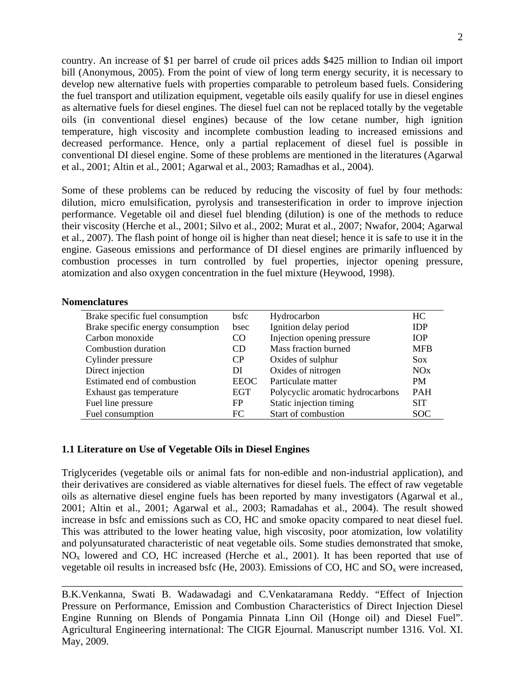country. An increase of \$1 per barrel of crude oil prices adds \$425 million to Indian oil import bill (Anonymous, 2005). From the point of view of long term energy security, it is necessary to develop new alternative fuels with properties comparable to petroleum based fuels. Considering the fuel transport and utilization equipment, vegetable oils easily qualify for use in diesel engines as alternative fuels for diesel engines. The diesel fuel can not be replaced totally by the vegetable oils (in conventional diesel engines) because of the low cetane number, high ignition temperature, high viscosity and incomplete combustion leading to increased emissions and decreased performance. Hence, only a partial replacement of diesel fuel is possible in conventional DI diesel engine. Some of these problems are mentioned in the literatures (Agarwal et al., 2001; Altin et al., 2001; Agarwal et al., 2003; Ramadhas et al., 2004).

Some of these problems can be reduced by reducing the viscosity of fuel by four methods: dilution, micro emulsification, pyrolysis and transesterification in order to improve injection performance. Vegetable oil and diesel fuel blending (dilution) is one of the methods to reduce their viscosity (Herche et al., 2001; Silvo et al., 2002; Murat et al., 2007; Nwafor, 2004; Agarwal et al., 2007). The flash point of honge oil is higher than neat diesel; hence it is safe to use it in the engine. Gaseous emissions and performance of DI diesel engines are primarily influenced by combustion processes in turn controlled by fuel properties, injector opening pressure, atomization and also oxygen concentration in the fuel mixture (Heywood, 1998).

#### **Nomenclatures**

| Brake specific fuel consumption   | <b>bsfc</b> | Hydrocarbon                      | HC.        |
|-----------------------------------|-------------|----------------------------------|------------|
| Brake specific energy consumption | bsec        | Ignition delay period            | <b>IDP</b> |
| Carbon monoxide                   | CO          | Injection opening pressure       | <b>IOP</b> |
| Combustion duration               | CD          | Mass fraction burned             | <b>MFB</b> |
| Cylinder pressure                 | CP          | Oxides of sulphur                | <b>Sox</b> |
| Direct injection                  | DI          | Oxides of nitrogen               | NOx        |
| Estimated end of combustion       | <b>EEOC</b> | Particulate matter               | <b>PM</b>  |
| Exhaust gas temperature           | <b>EGT</b>  | Polycyclic aromatic hydrocarbons | <b>PAH</b> |
| Fuel line pressure                | FP          | Static injection timing          | <b>SIT</b> |
| Fuel consumption                  | FC          | Start of combustion              | <b>SOC</b> |

## **1.1 Literature on Use of Vegetable Oils in Diesel Engines**

Triglycerides (vegetable oils or animal fats for non-edible and non-industrial application), and their derivatives are considered as viable alternatives for diesel fuels. The effect of raw vegetable oils as alternative diesel engine fuels has been reported by many investigators (Agarwal et al., 2001; Altin et al., 2001; Agarwal et al., 2003; Ramadahas et al., 2004). The result showed increase in bsfc and emissions such as CO, HC and smoke opacity compared to neat diesel fuel. This was attributed to the lower heating value, high viscosity, poor atomization, low volatility and polyunsaturated characteristic of neat vegetable oils. Some studies demonstrated that smoke,  $NO<sub>x</sub>$  lowered and CO, HC increased (Herche et al., 2001). It has been reported that use of vegetable oil results in increased bsfc (He, 2003). Emissions of CO, HC and  $SO<sub>x</sub>$  were increased,

B.K.Venkanna, Swati B. Wadawadagi and C.Venkataramana Reddy. "Effect of Injection Pressure on Performance, Emission and Combustion Characteristics of Direct Injection Diesel Engine Running on Blends of Pongamia Pinnata Linn Oil (Honge oil) and Diesel Fuel". Agricultural Engineering international: The CIGR Ejournal. Manuscript number 1316. Vol. XI. May, 2009.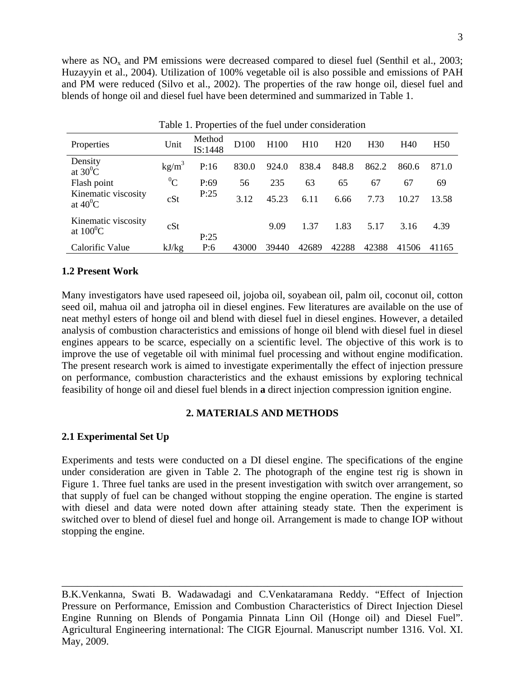where as  $NO<sub>x</sub>$  and PM emissions were decreased compared to diesel fuel (Senthil et al., 2003; Huzayyin et al., 2004). Utilization of 100% vegetable oil is also possible and emissions of PAH and PM were reduced (Silvo et al., 2002). The properties of the raw honge oil, diesel fuel and blends of honge oil and diesel fuel have been determined and summarized in Table 1.

| Tuble 1. I roperties of the ruer under consideration |           |                   |                  |                  |       |                 |                 |       |                 |
|------------------------------------------------------|-----------|-------------------|------------------|------------------|-------|-----------------|-----------------|-------|-----------------|
| Properties                                           | Unit      | Method<br>IS:1448 | D <sub>100</sub> | H <sub>100</sub> | H10   | H <sub>20</sub> | H <sub>30</sub> | H40   | H <sub>50</sub> |
| Density<br>at $30^0$ C                               | $kg/m^3$  | P:16              | 830.0            | 924.0            | 838.4 | 848.8           | 862.2           | 860.6 | 871.0           |
| Flash point                                          | ${}^{0}C$ | P:69              | 56               | 235              | 63    | 65              | 67              | 67    | 69              |
| Kinematic viscosity<br>at $40^0C$                    | cSt       | P:25              | 3.12             | 45.23            | 6.11  | 6.66            | 7.73            | 10.27 | 13.58           |
| Kinematic viscosity<br>at $100^0C$                   | cSt       | P:25              |                  | 9.09             | 1.37  | 1.83            | 5.17            | 3.16  | 4.39            |
| Calorific Value                                      | kJ/kg     | P:6               | 43000            | 39440            | 42689 | 42288           | 42388           | 41506 | 41165           |

Table 1. Properties of the fuel under consideration

### **1.2 Present Work**

Many investigators have used rapeseed oil, jojoba oil, soyabean oil, palm oil, coconut oil, cotton seed oil, mahua oil and jatropha oil in diesel engines. Few literatures are available on the use of neat methyl esters of honge oil and blend with diesel fuel in diesel engines. However, a detailed analysis of combustion characteristics and emissions of honge oil blend with diesel fuel in diesel engines appears to be scarce, especially on a scientific level. The objective of this work is to improve the use of vegetable oil with minimal fuel processing and without engine modification. The present research work is aimed to investigate experimentally the effect of injection pressure on performance, combustion characteristics and the exhaust emissions by exploring technical feasibility of honge oil and diesel fuel blends in **a** direct injection compression ignition engine.

#### **2. MATERIALS AND METHODS**

### **2.1 Experimental Set Up**

Experiments and tests were conducted on a DI diesel engine. The specifications of the engine under consideration are given in Table 2. The photograph of the engine test rig is shown in Figure 1. Three fuel tanks are used in the present investigation with switch over arrangement, so that supply of fuel can be changed without stopping the engine operation. The engine is started with diesel and data were noted down after attaining steady state. Then the experiment is switched over to blend of diesel fuel and honge oil. Arrangement is made to change IOP without stopping the engine.

B.K.Venkanna, Swati B. Wadawadagi and C.Venkataramana Reddy. "Effect of Injection Pressure on Performance, Emission and Combustion Characteristics of Direct Injection Diesel Engine Running on Blends of Pongamia Pinnata Linn Oil (Honge oil) and Diesel Fuel". Agricultural Engineering international: The CIGR Ejournal. Manuscript number 1316. Vol. XI. May, 2009.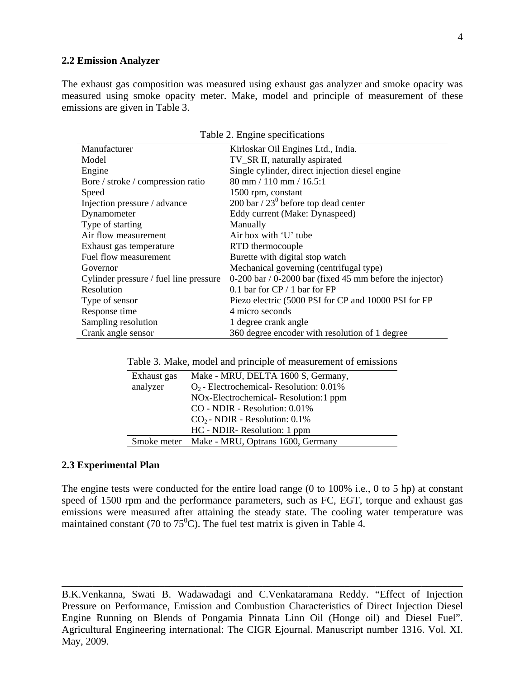#### **2.2 Emission Analyzer**

The exhaust gas composition was measured using exhaust gas analyzer and smoke opacity was measured using smoke opacity meter. Make, model and principle of measurement of these emissions are given in Table 3.

| Table 2. Engine specifications         |                                                              |  |  |
|----------------------------------------|--------------------------------------------------------------|--|--|
| Manufacturer                           | Kirloskar Oil Engines Ltd., India.                           |  |  |
| Model                                  | TV_SR II, naturally aspirated                                |  |  |
| Engine                                 | Single cylinder, direct injection diesel engine              |  |  |
| Bore / stroke / compression ratio      | $80 \text{ mm} / 110 \text{ mm} / 16.5:1$                    |  |  |
| Speed                                  | 1500 rpm, constant                                           |  |  |
| Injection pressure / advance           | 200 bar / $23^{\circ}$ before top dead center                |  |  |
| Dynamometer                            | Eddy current (Make: Dynaspeed)                               |  |  |
| Type of starting                       | Manually                                                     |  |  |
| Air flow measurement                   | Air box with 'U' tube                                        |  |  |
| Exhaust gas temperature                | RTD thermocouple                                             |  |  |
| Fuel flow measurement                  | Burette with digital stop watch                              |  |  |
| Governor                               | Mechanical governing (centrifugal type)                      |  |  |
| Cylinder pressure / fuel line pressure | $0-200$ bar / $0-2000$ bar (fixed 45 mm before the injector) |  |  |
| Resolution                             | 0.1 bar for $CP / 1$ bar for FP                              |  |  |
| Type of sensor                         | Piezo electric (5000 PSI for CP and 10000 PSI for FP         |  |  |
| Response time                          | 4 micro seconds                                              |  |  |
| Sampling resolution                    | 1 degree crank angle                                         |  |  |
| Crank angle sensor                     | 360 degree encoder with resolution of 1 degree               |  |  |

Table 3. Make, model and principle of measurement of emissions

| Exhaust gas | Make - MRU, DELTA 1600 S, Germany,            |
|-------------|-----------------------------------------------|
| analyzer    | $O_2$ - Electrochemical- Resolution: 0.01%    |
|             | NOx-Electrochemical-Resolution:1 ppm          |
|             | CO - NDIR - Resolution: 0.01%                 |
|             | $CO2$ - NDIR - Resolution: 0.1%               |
|             | HC - NDIR - Resolution: 1 ppm                 |
|             | Smoke meter Make - MRU, Optrans 1600, Germany |

#### **2.3 Experimental Plan**

The engine tests were conducted for the entire load range (0 to 100% i.e., 0 to 5 hp) at constant speed of 1500 rpm and the performance parameters, such as FC, EGT, torque and exhaust gas emissions were measured after attaining the steady state. The cooling water temperature was maintained constant (70 to  $75^{\circ}$ C). The fuel test matrix is given in Table 4.

B.K.Venkanna, Swati B. Wadawadagi and C.Venkataramana Reddy. "Effect of Injection Pressure on Performance, Emission and Combustion Characteristics of Direct Injection Diesel Engine Running on Blends of Pongamia Pinnata Linn Oil (Honge oil) and Diesel Fuel". Agricultural Engineering international: The CIGR Ejournal. Manuscript number 1316. Vol. XI. May, 2009.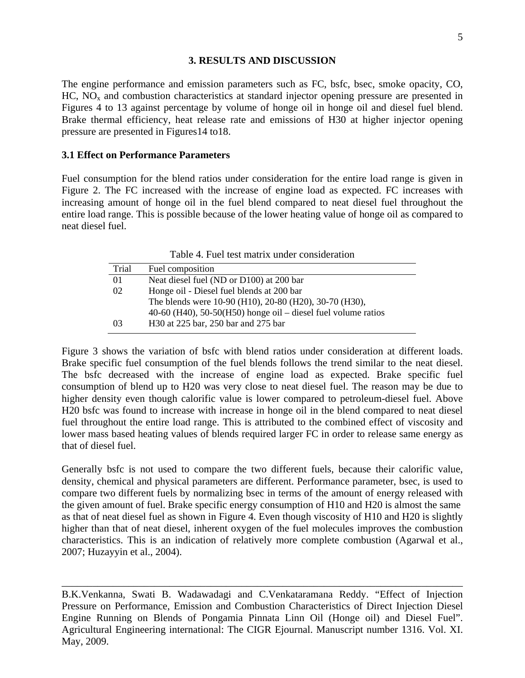#### **3. RESULTS AND DISCUSSION**

The engine performance and emission parameters such as FC, bsfc, bsec, smoke opacity, CO,  $HC$ ,  $NO<sub>x</sub>$  and combustion characteristics at standard injector opening pressure are presented in Figures 4 to 13 against percentage by volume of honge oil in honge oil and diesel fuel blend. Brake thermal efficiency, heat release rate and emissions of H30 at higher injector opening pressure are presented in Figures14 to18.

## **3.1 Effect on Performance Parameters**

Fuel consumption for the blend ratios under consideration for the entire load range is given in Figure 2. The FC increased with the increase of engine load as expected. FC increases with increasing amount of honge oil in the fuel blend compared to neat diesel fuel throughout the entire load range. This is possible because of the lower heating value of honge oil as compared to neat diesel fuel.

Table 4. Fuel test matrix under consideration

| Trial | Fuel composition                                                |
|-------|-----------------------------------------------------------------|
| 01    | Neat diesel fuel (ND or D100) at 200 bar                        |
| 02    | Honge oil - Diesel fuel blends at 200 bar                       |
|       | The blends were 10-90 (H10), 20-80 (H20), 30-70 (H30),          |
|       | $40-60$ (H40), 50-50(H50) honge oil – diesel fuel volume ratios |
| 03    | H30 at 225 bar, 250 bar and 275 bar                             |

Figure 3 shows the variation of bsfc with blend ratios under consideration at different loads. Brake specific fuel consumption of the fuel blends follows the trend similar to the neat diesel. The bsfc decreased with the increase of engine load as expected. Brake specific fuel consumption of blend up to H20 was very close to neat diesel fuel. The reason may be due to higher density even though calorific value is lower compared to petroleum-diesel fuel. Above H20 bsfc was found to increase with increase in honge oil in the blend compared to neat diesel fuel throughout the entire load range. This is attributed to the combined effect of viscosity and lower mass based heating values of blends required larger FC in order to release same energy as that of diesel fuel.

Generally bsfc is not used to compare the two different fuels, because their calorific value, density, chemical and physical parameters are different. Performance parameter, bsec, is used to compare two different fuels by normalizing bsec in terms of the amount of energy released with the given amount of fuel. Brake specific energy consumption of H10 and H20 is almost the same as that of neat diesel fuel as shown in Figure 4. Even though viscosity of H10 and H20 is slightly higher than that of neat diesel, inherent oxygen of the fuel molecules improves the combustion characteristics. This is an indication of relatively more complete combustion (Agarwal et al., 2007; Huzayyin et al., 2004).

B.K.Venkanna, Swati B. Wadawadagi and C.Venkataramana Reddy. "Effect of Injection Pressure on Performance, Emission and Combustion Characteristics of Direct Injection Diesel Engine Running on Blends of Pongamia Pinnata Linn Oil (Honge oil) and Diesel Fuel". Agricultural Engineering international: The CIGR Ejournal. Manuscript number 1316. Vol. XI. May, 2009.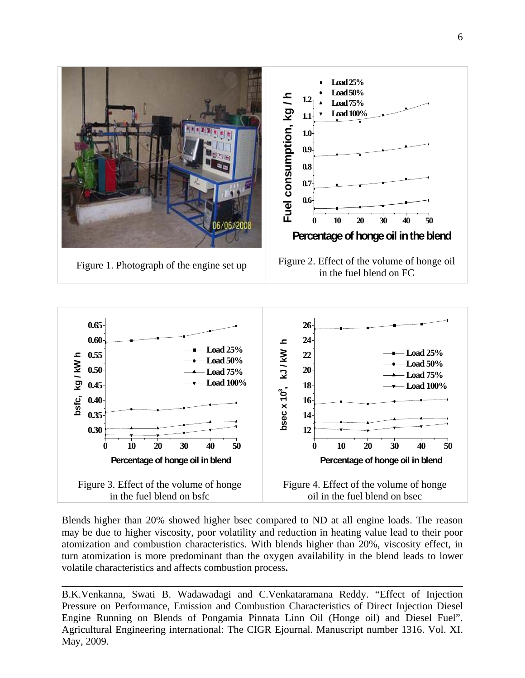



Blends higher than 20% showed higher bsec compared to ND at all engine loads. The reason may be due to higher viscosity, poor volatility and reduction in heating value lead to their poor atomization and combustion characteristics. With blends higher than 20%, viscosity effect, in turn atomization is more predominant than the oxygen availability in the blend leads to lower volatile characteristics and affects combustion process**.** 

B.K.Venkanna, Swati B. Wadawadagi and C.Venkataramana Reddy. "Effect of Injection Pressure on Performance, Emission and Combustion Characteristics of Direct Injection Diesel Engine Running on Blends of Pongamia Pinnata Linn Oil (Honge oil) and Diesel Fuel". Agricultural Engineering international: The CIGR Ejournal. Manuscript number 1316. Vol. XI. May, 2009.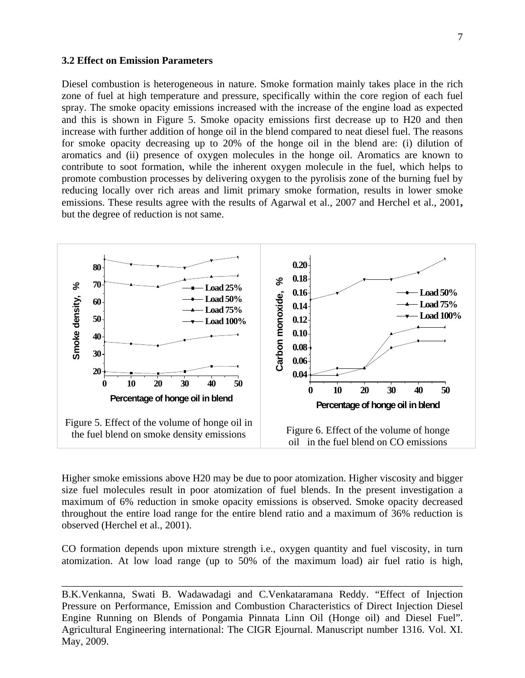#### **3.2 Effect on Emission Parameters**

Diesel combustion is heterogeneous in nature. Smoke formation mainly takes place in the rich zone of fuel at high temperature and pressure, specifically within the core region of each fuel spray. The smoke opacity emissions increased with the increase of the engine load as expected and this is shown in Figure 5. Smoke opacity emissions first decrease up to H20 and then increase with further addition of honge oil in the blend compared to neat diesel fuel. The reasons for smoke opacity decreasing up to 20% of the honge oil in the blend are: (i) dilution of aromatics and (ii) presence of oxygen molecules in the honge oil. Aromatics are known to contribute to soot formation, while the inherent oxygen molecule in the fuel, which helps to promote combustion processes by delivering oxygen to the pyrolisis zone of the burning fuel by reducing locally over rich areas and limit primary smoke formation, results in lower smoke emissions. These results agree with the results of Agarwal et al., 2007 and Herchel et al., 2001**,** but the degree of reduction is not same.



Higher smoke emissions above H20 may be due to poor atomization. Higher viscosity and bigger size fuel molecules result in poor atomization of fuel blends. In the present investigation a maximum of 6% reduction in smoke opacity emissions is observed. Smoke opacity decreased throughout the entire load range for the entire blend ratio and a maximum of 36% reduction is observed (Herchel et al., 2001).

CO formation depends upon mixture strength i.e., oxygen quantity and fuel viscosity, in turn atomization. At low load range (up to 50% of the maximum load) air fuel ratio is high,

B.K.Venkanna, Swati B. Wadawadagi and C.Venkataramana Reddy. "Effect of Injection Pressure on Performance, Emission and Combustion Characteristics of Direct Injection Diesel Engine Running on Blends of Pongamia Pinnata Linn Oil (Honge oil) and Diesel Fuel". Agricultural Engineering international: The CIGR Ejournal. Manuscript number 1316. Vol. XI. May, 2009.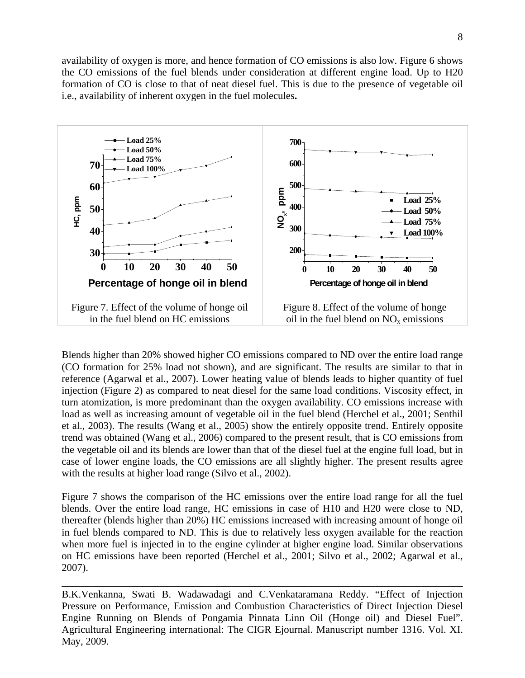availability of oxygen is more, and hence formation of CO emissions is also low. Figure 6 shows the CO emissions of the fuel blends under consideration at different engine load. Up to H20 formation of CO is close to that of neat diesel fuel. This is due to the presence of vegetable oil i.e., availability of inherent oxygen in the fuel molecules**.** 



Blends higher than 20% showed higher CO emissions compared to ND over the entire load range (CO formation for 25% load not shown), and are significant. The results are similar to that in reference (Agarwal et al., 2007). Lower heating value of blends leads to higher quantity of fuel injection (Figure 2) as compared to neat diesel for the same load conditions. Viscosity effect, in turn atomization, is more predominant than the oxygen availability. CO emissions increase with load as well as increasing amount of vegetable oil in the fuel blend (Herchel et al., 2001; Senthil et al., 2003). The results (Wang et al., 2005) show the entirely opposite trend. Entirely opposite trend was obtained (Wang et al., 2006) compared to the present result, that is CO emissions from the vegetable oil and its blends are lower than that of the diesel fuel at the engine full load, but in case of lower engine loads, the CO emissions are all slightly higher. The present results agree with the results at higher load range (Silvo et al., 2002).

Figure 7 shows the comparison of the HC emissions over the entire load range for all the fuel blends. Over the entire load range, HC emissions in case of H10 and H20 were close to ND, thereafter (blends higher than 20%) HC emissions increased with increasing amount of honge oil in fuel blends compared to ND. This is due to relatively less oxygen available for the reaction when more fuel is injected in to the engine cylinder at higher engine load. Similar observations on HC emissions have been reported (Herchel et al., 2001; Silvo et al., 2002; Agarwal et al., 2007).

B.K.Venkanna, Swati B. Wadawadagi and C.Venkataramana Reddy. "Effect of Injection Pressure on Performance, Emission and Combustion Characteristics of Direct Injection Diesel Engine Running on Blends of Pongamia Pinnata Linn Oil (Honge oil) and Diesel Fuel". Agricultural Engineering international: The CIGR Ejournal. Manuscript number 1316. Vol. XI. May, 2009.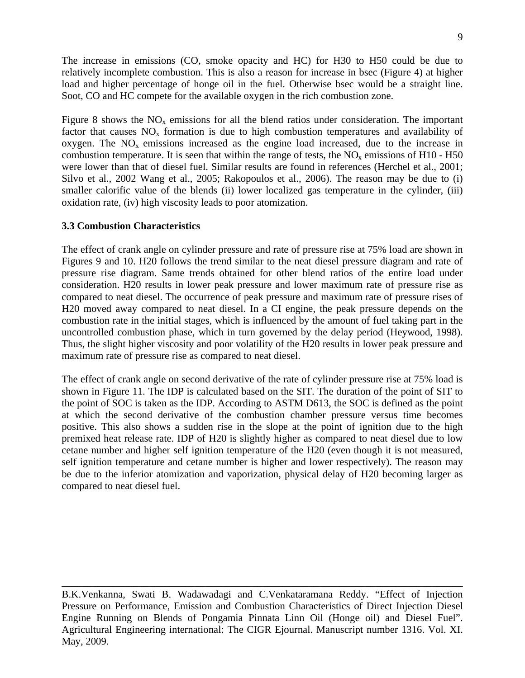The increase in emissions (CO, smoke opacity and HC) for H30 to H50 could be due to relatively incomplete combustion. This is also a reason for increase in bsec (Figure 4) at higher load and higher percentage of honge oil in the fuel. Otherwise bsec would be a straight line. Soot, CO and HC compete for the available oxygen in the rich combustion zone.

Figure 8 shows the  $NO<sub>x</sub>$  emissions for all the blend ratios under consideration. The important factor that causes  $NO<sub>x</sub>$  formation is due to high combustion temperatures and availability of oxygen. The  $NO<sub>x</sub>$  emissions increased as the engine load increased, due to the increase in combustion temperature. It is seen that within the range of tests, the  $NO<sub>x</sub>$  emissions of H10 - H50 were lower than that of diesel fuel. Similar results are found in references (Herchel et al., 2001; Silvo et al., 2002 Wang et al., 2005; Rakopoulos et al., 2006). The reason may be due to (i) smaller calorific value of the blends (ii) lower localized gas temperature in the cylinder, (iii) oxidation rate, (iv) high viscosity leads to poor atomization.

## **3.3 Combustion Characteristics**

The effect of crank angle on cylinder pressure and rate of pressure rise at 75% load are shown in Figures 9 and 10. H20 follows the trend similar to the neat diesel pressure diagram and rate of pressure rise diagram. Same trends obtained for other blend ratios of the entire load under consideration. H20 results in lower peak pressure and lower maximum rate of pressure rise as compared to neat diesel. The occurrence of peak pressure and maximum rate of pressure rises of H20 moved away compared to neat diesel. In a CI engine, the peak pressure depends on the combustion rate in the initial stages, which is influenced by the amount of fuel taking part in the uncontrolled combustion phase, which in turn governed by the delay period (Heywood, 1998). Thus, the slight higher viscosity and poor volatility of the H20 results in lower peak pressure and maximum rate of pressure rise as compared to neat diesel.

The effect of crank angle on second derivative of the rate of cylinder pressure rise at 75% load is shown in Figure 11. The IDP is calculated based on the SIT. The duration of the point of SIT to the point of SOC is taken as the IDP. According to ASTM D613, the SOC is defined as the point at which the second derivative of the combustion chamber pressure versus time becomes positive. This also shows a sudden rise in the slope at the point of ignition due to the high premixed heat release rate. IDP of H20 is slightly higher as compared to neat diesel due to low cetane number and higher self ignition temperature of the H20 (even though it is not measured, self ignition temperature and cetane number is higher and lower respectively). The reason may be due to the inferior atomization and vaporization, physical delay of H20 becoming larger as compared to neat diesel fuel.

B.K.Venkanna, Swati B. Wadawadagi and C.Venkataramana Reddy. "Effect of Injection Pressure on Performance, Emission and Combustion Characteristics of Direct Injection Diesel Engine Running on Blends of Pongamia Pinnata Linn Oil (Honge oil) and Diesel Fuel". Agricultural Engineering international: The CIGR Ejournal. Manuscript number 1316. Vol. XI. May, 2009.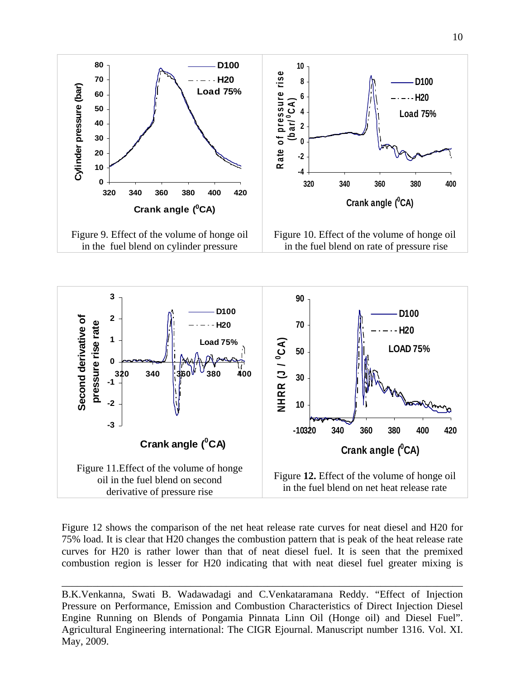



Figure 12 shows the comparison of the net heat release rate curves for neat diesel and H20 for 75% load. It is clear that H20 changes the combustion pattern that is peak of the heat release rate curves for H20 is rather lower than that of neat diesel fuel. It is seen that the premixed combustion region is lesser for H20 indicating that with neat diesel fuel greater mixing is

\_\_\_\_\_\_\_\_\_\_\_\_\_\_\_\_\_\_\_\_\_\_\_\_\_\_\_\_\_\_\_\_\_\_\_\_\_\_\_\_\_\_\_\_\_\_\_\_\_\_\_\_\_\_\_\_\_\_\_\_\_\_\_\_\_\_\_\_\_\_\_\_\_\_\_\_\_\_

B.K.Venkanna, Swati B. Wadawadagi and C.Venkataramana Reddy. "Effect of Injection Pressure on Performance, Emission and Combustion Characteristics of Direct Injection Diesel Engine Running on Blends of Pongamia Pinnata Linn Oil (Honge oil) and Diesel Fuel". Agricultural Engineering international: The CIGR Ejournal. Manuscript number 1316. Vol. XI. May, 2009.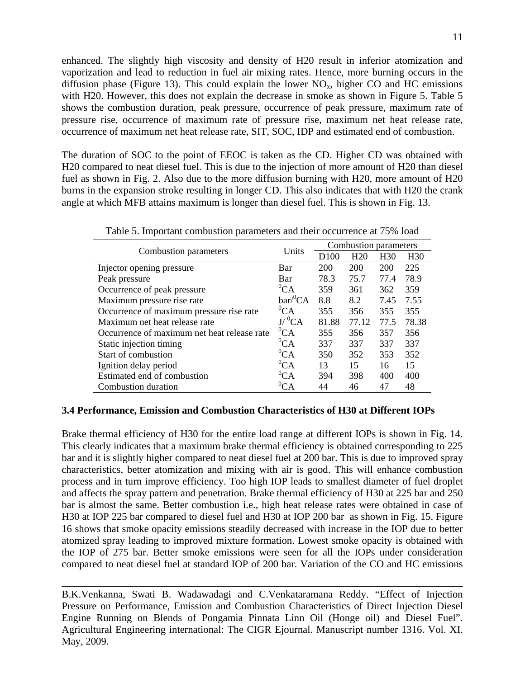enhanced. The slightly high viscosity and density of H20 result in inferior atomization and vaporization and lead to reduction in fuel air mixing rates. Hence, more burning occurs in the diffusion phase (Figure 13). This could explain the lower  $NO<sub>x</sub>$ , higher CO and HC emissions with H20. However, this does not explain the decrease in smoke as shown in Figure 5. Table 5 shows the combustion duration, peak pressure, occurrence of peak pressure, maximum rate of pressure rise, occurrence of maximum rate of pressure rise, maximum net heat release rate, occurrence of maximum net heat release rate, SIT, SOC, IDP and estimated end of combustion.

The duration of SOC to the point of EEOC is taken as the CD. Higher CD was obtained with H20 compared to neat diesel fuel. This is due to the injection of more amount of H20 than diesel fuel as shown in Fig. 2. Also due to the more diffusion burning with H20, more amount of H20 burns in the expansion stroke resulting in longer CD. This also indicates that with H20 the crank angle at which MFB attains maximum is longer than diesel fuel. This is shown in Fig. 13.

|                                             | Units        | Combustion parameters |                 |                 |                 |
|---------------------------------------------|--------------|-----------------------|-----------------|-----------------|-----------------|
| Combustion parameters                       |              | D <sub>100</sub>      | H <sub>20</sub> | H <sub>30</sub> | H <sub>30</sub> |
| Injector opening pressure                   | Bar          | 200                   | 200             | 200             | 225             |
| Peak pressure                               | Bar          | 78.3                  | 75.7            | 77.4            | 78.9            |
| Occurrence of peak pressure                 | ${}^{0}CA$   | 359                   | 361             | 362             | 359             |
| Maximum pressure rise rate                  | $bar/^0CA$   | 8.8                   | 8.2             | 7.45            | 7.55            |
| Occurrence of maximum pressure rise rate    | $^0$ CA      | 355                   | 356             | 355             | 355             |
| Maximum net heat release rate               | $J/{}^{0}CA$ | 81.88                 | 77.12           | 77.5            | 78.38           |
| Occurrence of maximum net heat release rate | ${}^{0}CA$   | 355                   | 356             | 357             | 356             |
| Static injection timing                     | ${}^{0}CA$   | 337                   | 337             | 337             | 337             |
| Start of combustion                         | ${}^{0}CA$   | 350                   | 352             | 353             | 352             |
| Ignition delay period                       | ${}^{0}CA$   | 13                    | 15              | 16              | 15              |
| Estimated end of combustion                 | $^0CA$       | 394                   | 398             | 400             | 400             |
| Combustion duration                         | ${}^{0}CA$   | 44                    | 46              | 47              | 48              |

Table 5. Important combustion parameters and their occurrence at 75% load

## **3.4 Performance, Emission and Combustion Characteristics of H30 at Different IOPs**

Brake thermal efficiency of H30 for the entire load range at different IOPs is shown in Fig. 14. This clearly indicates that a maximum brake thermal efficiency is obtained corresponding to 225 bar and it is slightly higher compared to neat diesel fuel at 200 bar. This is due to improved spray characteristics, better atomization and mixing with air is good. This will enhance combustion process and in turn improve efficiency. Too high IOP leads to smallest diameter of fuel droplet and affects the spray pattern and penetration. Brake thermal efficiency of H30 at 225 bar and 250 bar is almost the same. Better combustion i.e., high heat release rates were obtained in case of H30 at IOP 225 bar compared to diesel fuel and H30 at IOP 200 bar as shown in Fig. 15. Figure 16 shows that smoke opacity emissions steadily decreased with increase in the IOP due to better atomized spray leading to improved mixture formation. Lowest smoke opacity is obtained with the IOP of 275 bar. Better smoke emissions were seen for all the IOPs under consideration compared to neat diesel fuel at standard IOP of 200 bar. Variation of the CO and HC emissions

B.K.Venkanna, Swati B. Wadawadagi and C.Venkataramana Reddy. "Effect of Injection Pressure on Performance, Emission and Combustion Characteristics of Direct Injection Diesel Engine Running on Blends of Pongamia Pinnata Linn Oil (Honge oil) and Diesel Fuel". Agricultural Engineering international: The CIGR Ejournal. Manuscript number 1316. Vol. XI. May, 2009.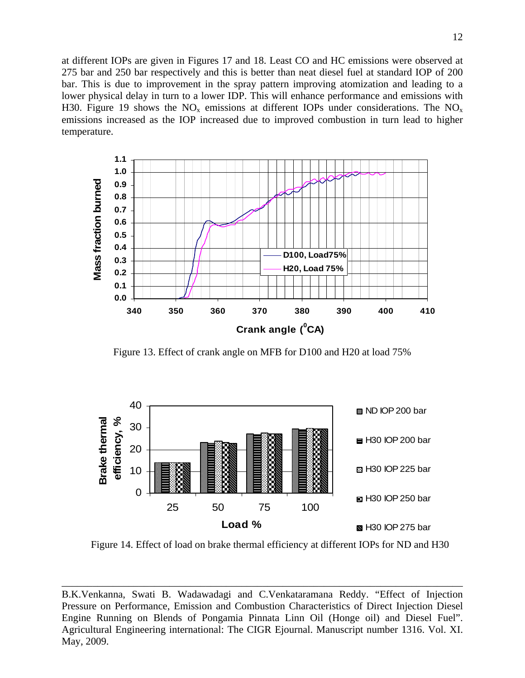at different IOPs are given in Figures 17 and 18. Least CO and HC emissions were observed at 275 bar and 250 bar respectively and this is better than neat diesel fuel at standard IOP of 200 bar. This is due to improvement in the spray pattern improving atomization and leading to a lower physical delay in turn to a lower IDP. This will enhance performance and emissions with H30. Figure 19 shows the  $NO_x$  emissions at different IOPs under considerations. The  $NO_x$ emissions increased as the IOP increased due to improved combustion in turn lead to higher temperature.



Figure 13. Effect of crank angle on MFB for D100 and H20 at load 75%



Figure 14. Effect of load on brake thermal efficiency at different IOPs for ND and H30

B.K.Venkanna, Swati B. Wadawadagi and C.Venkataramana Reddy. "Effect of Injection Pressure on Performance, Emission and Combustion Characteristics of Direct Injection Diesel Engine Running on Blends of Pongamia Pinnata Linn Oil (Honge oil) and Diesel Fuel". Agricultural Engineering international: The CIGR Ejournal. Manuscript number 1316. Vol. XI. May, 2009.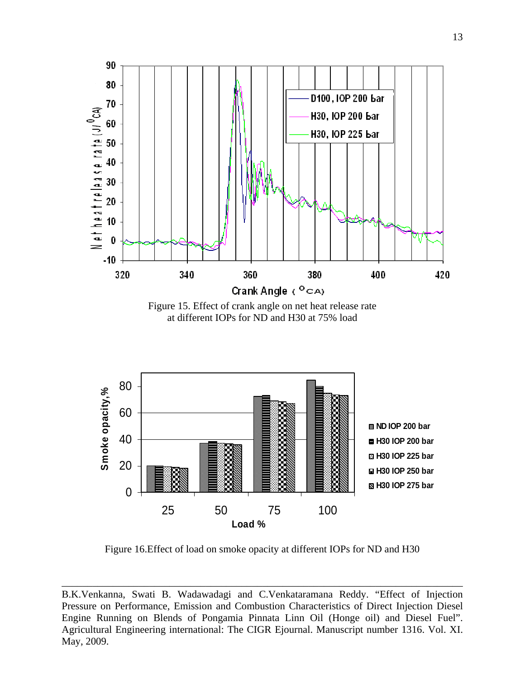

Figure 15. Effect of crank angle on net heat release rate at different IOPs for ND and H30 at 75% load



Figure 16.Effect of load on smoke opacity at different IOPs for ND and H30

B.K.Venkanna, Swati B. Wadawadagi and C.Venkataramana Reddy. "Effect of Injection Pressure on Performance, Emission and Combustion Characteristics of Direct Injection Diesel Engine Running on Blends of Pongamia Pinnata Linn Oil (Honge oil) and Diesel Fuel". Agricultural Engineering international: The CIGR Ejournal. Manuscript number 1316. Vol. XI. May, 2009.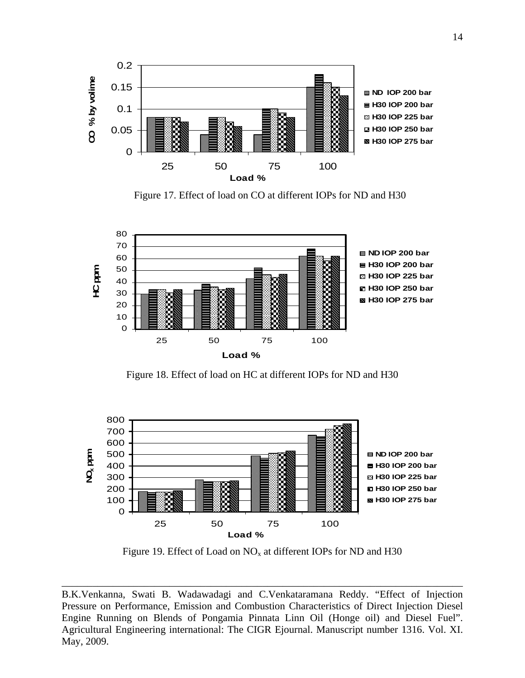

Figure 17. Effect of load on CO at different IOPs for ND and H30



Figure 18. Effect of load on HC at different IOPs for ND and H30



Figure 19. Effect of Load on  $NO<sub>x</sub>$  at different IOPs for ND and H30

B.K.Venkanna, Swati B. Wadawadagi and C.Venkataramana Reddy. "Effect of Injection Pressure on Performance, Emission and Combustion Characteristics of Direct Injection Diesel Engine Running on Blends of Pongamia Pinnata Linn Oil (Honge oil) and Diesel Fuel". Agricultural Engineering international: The CIGR Ejournal. Manuscript number 1316. Vol. XI. May, 2009.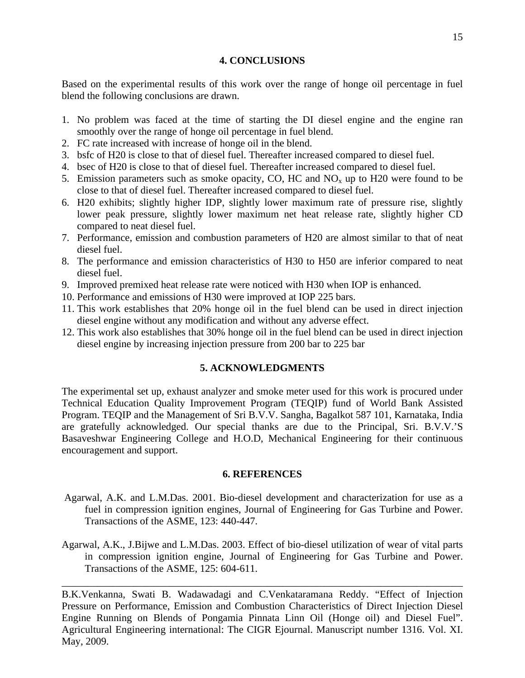#### **4. CONCLUSIONS**

Based on the experimental results of this work over the range of honge oil percentage in fuel blend the following conclusions are drawn.

- 1. No problem was faced at the time of starting the DI diesel engine and the engine ran smoothly over the range of honge oil percentage in fuel blend.
- 2. FC rate increased with increase of honge oil in the blend.
- 3. bsfc of H20 is close to that of diesel fuel. Thereafter increased compared to diesel fuel.
- 4. bsec of H20 is close to that of diesel fuel. Thereafter increased compared to diesel fuel.
- 5. Emission parameters such as smoke opacity, CO, HC and  $NO<sub>x</sub>$  up to H20 were found to be close to that of diesel fuel. Thereafter increased compared to diesel fuel.
- 6. H20 exhibits; slightly higher IDP, slightly lower maximum rate of pressure rise, slightly lower peak pressure, slightly lower maximum net heat release rate, slightly higher CD compared to neat diesel fuel.
- 7. Performance, emission and combustion parameters of H20 are almost similar to that of neat diesel fuel.
- 8. The performance and emission characteristics of H30 to H50 are inferior compared to neat diesel fuel.
- 9. Improved premixed heat release rate were noticed with H30 when IOP is enhanced.
- 10. Performance and emissions of H30 were improved at IOP 225 bars.
- 11. This work establishes that 20% honge oil in the fuel blend can be used in direct injection diesel engine without any modification and without any adverse effect.
- 12. This work also establishes that 30% honge oil in the fuel blend can be used in direct injection diesel engine by increasing injection pressure from 200 bar to 225 bar

## **5. ACKNOWLEDGMENTS**

The experimental set up, exhaust analyzer and smoke meter used for this work is procured under Technical Education Quality Improvement Program (TEQIP) fund of World Bank Assisted Program. TEQIP and the Management of Sri B.V.V. Sangha, Bagalkot 587 101, Karnataka, India are gratefully acknowledged. Our special thanks are due to the Principal, Sri. B.V.V.'S Basaveshwar Engineering College and H.O.D, Mechanical Engineering for their continuous encouragement and support.

## **6. REFERENCES**

- Agarwal, A.K. and L.M.Das. 2001. Bio-diesel development and characterization for use as a fuel in compression ignition engines, Journal of Engineering for Gas Turbine and Power. Transactions of the ASME, 123: 440-447.
- Agarwal, A.K., J.Bijwe and L.M.Das. 2003. Effect of bio-diesel utilization of wear of vital parts in compression ignition engine, Journal of Engineering for Gas Turbine and Power. Transactions of the ASME, 125: 604-611.

\_\_\_\_\_\_\_\_\_\_\_\_\_\_\_\_\_\_\_\_\_\_\_\_\_\_\_\_\_\_\_\_\_\_\_\_\_\_\_\_\_\_\_\_\_\_\_\_\_\_\_\_\_\_\_\_\_\_\_\_\_\_\_\_\_\_\_\_\_\_\_\_\_\_\_\_\_\_

B.K.Venkanna, Swati B. Wadawadagi and C.Venkataramana Reddy. "Effect of Injection Pressure on Performance, Emission and Combustion Characteristics of Direct Injection Diesel Engine Running on Blends of Pongamia Pinnata Linn Oil (Honge oil) and Diesel Fuel". Agricultural Engineering international: The CIGR Ejournal. Manuscript number 1316. Vol. XI. May, 2009.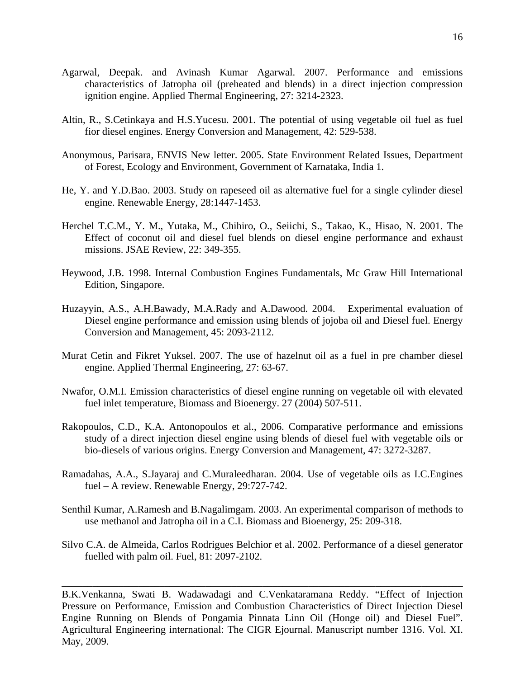- Agarwal, Deepak. and Avinash Kumar Agarwal. 2007. Performance and emissions characteristics of Jatropha oil (preheated and blends) in a direct injection compression ignition engine. Applied Thermal Engineering, 27: 3214-2323.
- Altin, R., S.Cetinkaya and H.S.Yucesu. 2001. The potential of using vegetable oil fuel as fuel fior diesel engines. Energy Conversion and Management, 42: 529-538.
- Anonymous, Parisara, ENVIS New letter. 2005. State Environment Related Issues, Department of Forest, Ecology and Environment, Government of Karnataka, India 1.
- He, Y. and Y.D.Bao. 2003. Study on rapeseed oil as alternative fuel for a single cylinder diesel engine. Renewable Energy, 28:1447-1453.
- Herchel T.C.M., Y. M., Yutaka, M., Chihiro, O., Seiichi, S., Takao, K., Hisao, N. 2001. The Effect of coconut oil and diesel fuel blends on diesel engine performance and exhaust missions. JSAE Review, 22: 349-355.
- Heywood, J.B. 1998. Internal Combustion Engines Fundamentals, Mc Graw Hill International Edition, Singapore.
- Huzayyin, A.S., A.H.Bawady, M.A.Rady and A.Dawood. 2004. Experimental evaluation of Diesel engine performance and emission using blends of jojoba oil and Diesel fuel. Energy Conversion and Management, 45: 2093-2112.
- Murat Cetin and Fikret Yuksel. 2007. The use of hazelnut oil as a fuel in pre chamber diesel engine. Applied Thermal Engineering, 27: 63-67.
- Nwafor, O.M.I. Emission characteristics of diesel engine running on vegetable oil with elevated fuel inlet temperature, Biomass and Bioenergy. 27 (2004) 507-511.
- Rakopoulos, C.D., K.A. Antonopoulos et al., 2006. Comparative performance and emissions study of a direct injection diesel engine using blends of diesel fuel with vegetable oils or bio-diesels of various origins. Energy Conversion and Management, 47: 3272-3287.
- Ramadahas, A.A., S.Jayaraj and C.Muraleedharan. 2004. Use of vegetable oils as I.C.Engines fuel – A review. Renewable Energy, 29:727-742.
- Senthil Kumar, A.Ramesh and B.Nagalimgam. 2003. An experimental comparison of methods to use methanol and Jatropha oil in a C.I. Biomass and Bioenergy, 25: 209-318.
- Silvo C.A. de Almeida, Carlos Rodrigues Belchior et al. 2002. Performance of a diesel generator fuelled with palm oil. Fuel, 81: 2097-2102.

B.K.Venkanna, Swati B. Wadawadagi and C.Venkataramana Reddy. "Effect of Injection Pressure on Performance, Emission and Combustion Characteristics of Direct Injection Diesel Engine Running on Blends of Pongamia Pinnata Linn Oil (Honge oil) and Diesel Fuel". Agricultural Engineering international: The CIGR Ejournal. Manuscript number 1316. Vol. XI. May, 2009.